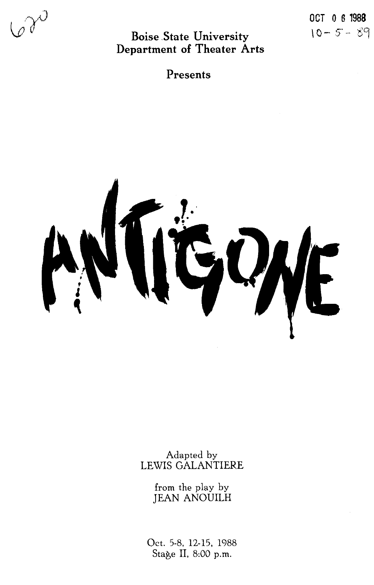$\mathscr{A}^{\mathcal{O}}$ 

**Boise .State University Department of Theater Arts** 

**Presents** 



Adapted by LEWIS GALANTIERE

> from the play by JEAN ANOUILH

Oct. 5-8, 12-15, 1988 Stage II, 8:00 p.m.

OCT 0 6 **1988**   $10 - 5 - 89$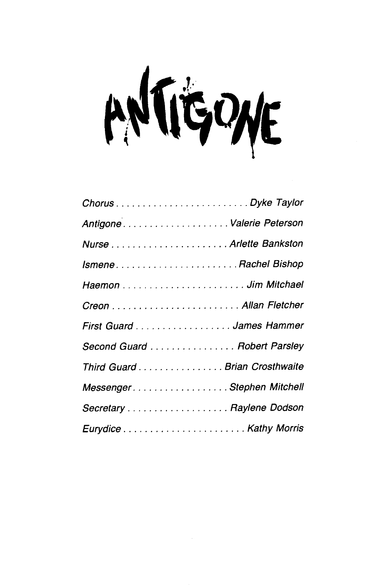ANTIGOME

| AntigoneValerie Peterson      |
|-------------------------------|
|                               |
|                               |
|                               |
|                               |
| First Guard James Hammer      |
| Second Guard Robert Parsley   |
| Third Guard Brian Crosthwaite |
| Messenger. Stephen Mitchell   |
| Secretary Raylene Dodson      |
|                               |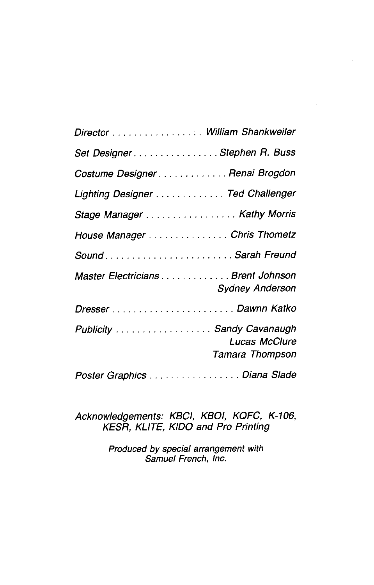| Director William Shankweiler                                  |  |
|---------------------------------------------------------------|--|
| Set DesignerStephen R. Buss                                   |  |
| Costume Designer Renai Brogdon                                |  |
| Lighting Designer Ted Challenger                              |  |
| Stage Manager Kathy Morris                                    |  |
| House Manager Chris Thometz                                   |  |
| Sound Sarah Freund                                            |  |
| Master Electricians Brent Johnson<br><b>Sydney Anderson</b>   |  |
|                                                               |  |
| Publicity Sandy Cavanaugh<br>Lucas McClure<br>Tamara Thompson |  |
| Poster Graphics Diana Slade                                   |  |

Acknowledgements: KBCI, KBOI, KQFC, K-106, KESR, KLITE, KIDO and Pro Printing

> Produced by special arrangement with Samuel French, Inc.